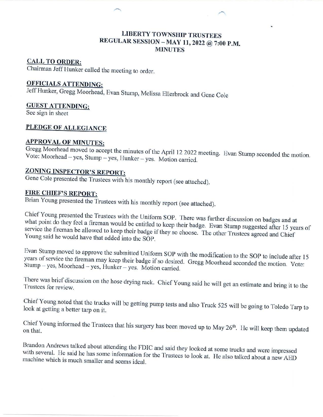## **LIBERTY TOWNSHIP TRUSTEES** REGULAR SESSION - MAY 11, 2022 @ 7:00 P.M. **MINUTES**

#### **CALL TO ORDER:**

Chairman Jeff Hunker called the meeting to order.

# **OFFICIALS ATTENDING:**

Jeff Hunker, Gregg Moorhead, Evan Stump, Melissa Ellerbrock and Gene Cole

# **GUEST ATTENDING:**

See sign in sheet

# PLEDGE OF ALLEGIANCE

# **APPROVAL OF MINUTES:**

Gregg Moorhead moved to accept the minutes of the April 12 2022 meeting. Evan Stump seconded the motion. Vote: Moorhead - yes, Stump - yes, Hunker - yes. Motion carried.

# **ZONING INSPECTOR'S REPORT:**

Gene Cole presented the Trustees with his monthly report (see attached).

# **FIRE CHIEF'S REPORT:**

Brian Young presented the Trustees with his monthly report (see attached).

Chief Young presented the Trustees with the Uniform SOP. There was further discussion on badges and at what point do they feel a fireman would be entitled to keep their badge. Evan Stump suggested after 15 years of service the fireman be allowed to keep their badge if they so choose. The other Trustees agreed and Chief Young said he would have that added into the SOP.

Evan Stump moved to approve the submitted Uniform SOP with the modification to the SOP to include after 15 years of service the fireman may keep their badge if so desired. Gregg Moorhead seconded the motion. Vote: Stump - yes, Moorhead - yes, Hunker - yes. Motion carried.

There was brief discussion on the hose drying rack. Chief Young said he will get an estimate and bring it to the Trustees for review.

Chief Young noted that the trucks will be getting pump tests and also Truck 525 will be going to Toledo Tarp to look at getting a better tarp on it.

Chief Young informed the Trustees that his surgery has been moved up to May 26<sup>th</sup>. He will keep them updated

Brandon Andrews talked about attending the FDIC and said they looked at some trucks and were impressed with several. He said he has some information for the Trustees to look at. He also talked about a new AED machine which is much smaller and seems ideal.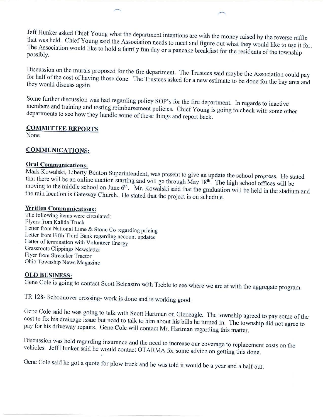Jeff Hunker asked Chief Young what the department intentions are with the money raised by the reverse raffle that was held. Chief Young said the Association needs to meet and figure out what they would like to use it for. The Association would like to hold a family fun day or a pancake breakfast for the residents of the township possibly.

Discussion on the murals proposed for the fire department. The Trustees said maybe the Association could pay for half of the cost of having those done. The Trustees asked for a new estimate to be done for the bay area and they would discuss again.

Some further discussion was had regarding policy SOP's for the fire department. In regards to inactive members and training and testing reimbursement policies. Chief Young is going to check with some other departments to see how they handle some of these things and report back.

#### **COMMITTEE REPORTS**

None

#### **COMMUNICATIONS:**

#### **Oral Communications:**

Mark Kowalski, Liberty Benton Superintendent, was present to give an update the school progress. He stated that there will be an online auction starting and will go through May 18<sup>th</sup>. The high school offices will be moving to the middle school on June 6<sup>th</sup>. Mr. Kowalski said that the graduation will be held in the stadium and the rain location is Gateway Church. He stated that the project is on schedule.

#### **Written Communications:**

The following items were circulated: Flyers from Kalida Truck Letter from National Lime & Stone Co regarding pricing Letter from Fifth Third Bank regarding account updates Letter of termination with Volunteer Energy **Grassroots Clippings Newsletter** Flyer from Streacker Tractor Ohio Township News Magazine

#### **OLD BUSINESS:**

Gene Cole is going to contact Scott Belcastro with Treble to see where we are at with the aggregate program.

TR 128- Schoonover crossing-work is done and is working good.

Gene Cole said he was going to talk with Scott Hartman on Gleneagle. The township agreed to pay some of the cost to fix his drainage issue but need to talk to him about his bills he turned in. The township did not agree to pay for his driveway repairs. Gene Cole will contact Mr. Hartman regarding this matter.

Discussion was held regarding insurance and the need to increase our coverage to replacement costs on the vehicles. Jeff Hunker said he would contact OTARMA for some advice on getting this done.

Gene Cole said he got a quote for plow truck and he was told it would be a year and a half out.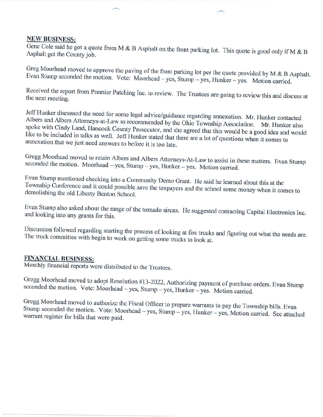#### **NEW BUSINESS:**

Gene Cole said he got a quote from M & B Asphalt on the front parking lot. This quote is good only if M & B Asphalt get the County job.

Greg Moorhead moved to approve the paving of the front parking lot per the quote provided by M & B Asphalt. Evan Stump seconded the motion. Vote: Moorhead - yes, Stump - yes, Hunker - yes. Motion carried.

Received the report from Premier Patching Inc. to review. The Trustees are going to review this and discuss at the next meeting.

Jeff Hunker discussed the need for some legal advice/guidance regarding annexation. Mr. Hunker contacted Albers and Albers Attorneys-at-Law as recommended by the Ohio Township Association. Mr. Hunker also spoke with Cindy Land, Hancock County Prosecutor, and she agreed that this would be a good idea and would like to be included in talks as well. Jeff Hunker stated that there are a lot of questions when it comes to annexation that we just need answers to before it is too late.

Gregg Moorhead moved to retain Albers and Albers Attorneys-At-Law to assist in these matters. Evan Stump seconded the motion. Moorhead -- yes, Stump -- yes, Hunker -- yes. Motion carried.

Evan Stump mentioned checking into a Community Demo Grant. He said he learned about this at the Township Conference and it could possible save the taxpayers and the school some money when it comes to demolishing the old Liberty Benton School.

Evan Stump also asked about the range of the tornado sirens. He suggested contacting Capital Electronics Inc. and looking into any grants for this.

Discussion followed regarding starting the process of looking at fire trucks and figuring out what the needs are. The truck committee with begin to work on getting some trucks to look at.

# **FINANCIAL BUSINESS:**

Monthly financial reports were distributed to the Trustees.

Gregg Moorhead moved to adopt Resolution #13-2022, Authorizing payment of purchase orders. Evan Stump seconded the motion. Vote: Moorhead - yes, Stump - yes, Hunker - yes. Motion carried.

Gregg Moorhead moved to authorize the Fiscal Officer to prepare warrants to pay the Township bills. Evan Stump seconded the motion. Vote: Moorhead - yes, Stump - yes, Hunker - yes, Motion carried. See attached warrant register for bills that were paid.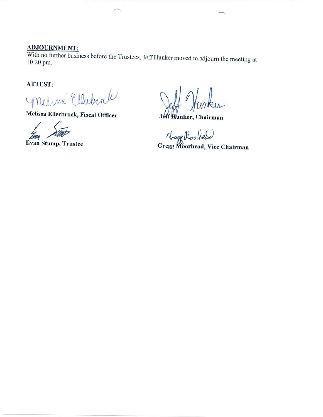# **ADJOURNMENT:**

With no further business before the Trustees, Jeff Hunker moved to adjourn the meeting at 10:20 pm.

# ATTEST:

Milima Ellubral

Melissa Ellerbrock, Fiscal Officer

Evan Stump, Trustee

unku

Jeff Hunker, Chairman

Hage Moorlead<br>Gregg Moorhead, Vice Chairman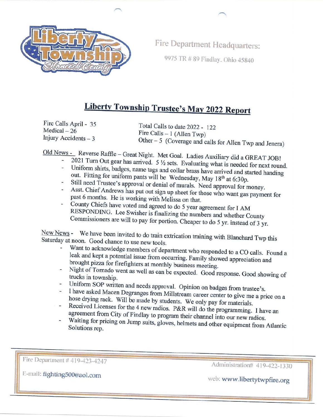

Fire Department Headquarters:

9975 TR # 89 Findlay, Ohio 45840

# **Liberty Township Trustee's May 2022 Report**

Fire Calls April - 35  $Medical-26$ Injury Accidents  $-3$ 

Total Calls to date 2022 - 122 Fire Calls - 1 (Allen Twp) Other  $-5$  (Coverage and calls for Allen Twp and Jenera)

Old News - Reverse Raffle - Great Night. Met Goal. Ladies Auxiliary did a GREAT JOB!

- 2021 Turn Out gear has arrived.  $5\frac{1}{2}$  sets. Evaluating what is needed for next round.
- Uniform shirts, badges, name tags and collar brass have arrived and started handing out. Fitting for uniform pants will be Wednesday, May 18<sup>th</sup> at 6:30p.
- Still need Trustee's approval or denial of murals. Need approval for money.
- Asst. Chief Andrews has put out sign up sheet for those who want gas payment for past 6 months. He is working with Melissa on that.
- County Chiefs have voted and agreed to do 5 year agreement for I AM RESPONDING. Lee Swisher is finalizing the numbers and whether County Commissioners are will to pay for portion. Cheaper to do 5 yr. instead of 3 yr.

New News - We have been invited to do train extrication training with Blanchard Twp this Saturday at noon. Good chance to use new tools.

- Want to acknowledge members of department who responded to a CO calls. Found a leak and kept a potential issue from occurring. Family showed appreciation and brought pizza for firefighters at monthly business meeting.
- Night of Tornado went as well as can be expected. Good response. Good showing of trucks in township.
- Uniform SOP written and needs approval. Opinion on badges from trustee's.
- I have asked Macen Degranges from Millstream career center to give me a price on a hose drying rack. Will be made by students. We only pay for materials.
- Received Licenses for the 4 new radios. P&R will do the programming. I have an agreement from City of Findlay to program their channel into our new radios.
- Waiting for pricing on Jump suits, gloves, helmets and other equipment from Atlantic Solutions rep.

Fire Department # 419-423-4247

Administration# 419-422-1330

E-mail: fighting500@aol.com

web: www.libertytwpfire.org